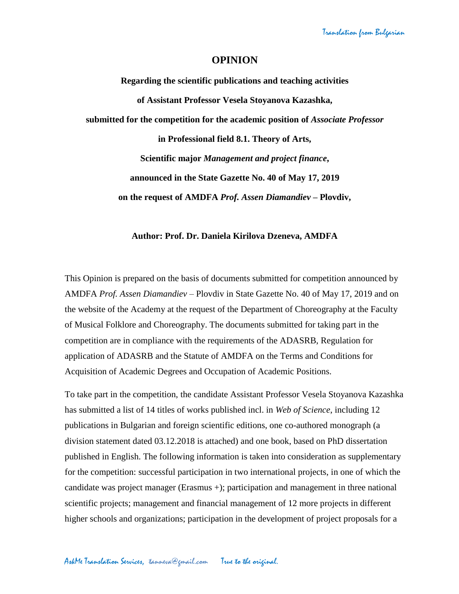## **OPINION**

**Regarding the scientific publications and teaching activities of Assistant Professor Vesela Stoyanova Kazashka, submitted for the competition for the academic position of** *Associate Professor* **in Professional field 8.1. Theory of Arts, Scientific major** *Management and project finance***, announced in the State Gazette No. 40 of May 17, 2019 on the request of AMDFA** *Prof. Assen Diamandiev* **– Plovdiv,**

## **Author: Prof. Dr. Daniela Kirilova Dzeneva, AMDFA**

This Opinion is prepared on the basis of documents submitted for competition announced by AMDFA *Prof. Assen Diamandiev* – Plovdiv in State Gazette No. 40 of May 17, 2019 and on the website of the Academy at the request of the Department of Choreography at the Faculty of Musical Folklore and Choreography. The documents submitted for taking part in the competition are in compliance with the requirements of the ADASRB, Regulation for application of ADASRB and the Statute of AMDFA on the Terms and Conditions for Acquisition of Academic Degrees and Occupation of Academic Positions.

To take part in the competition, the candidate Assistant Professor Vesela Stoyanova Kazashka has submitted a list of 14 titles of works published incl. in *Web of Science*, including 12 publications in Bulgarian and foreign scientific editions, one co-authored monograph (a division statement dated 03.12.2018 is attached) and one book, based on PhD dissertation published in English. The following information is taken into consideration as supplementary for the competition: successful participation in two international projects, in one of which the candidate was project manager (Erasmus +); participation and management in three national scientific projects; management and financial management of 12 more projects in different higher schools and organizations; participation in the development of project proposals for a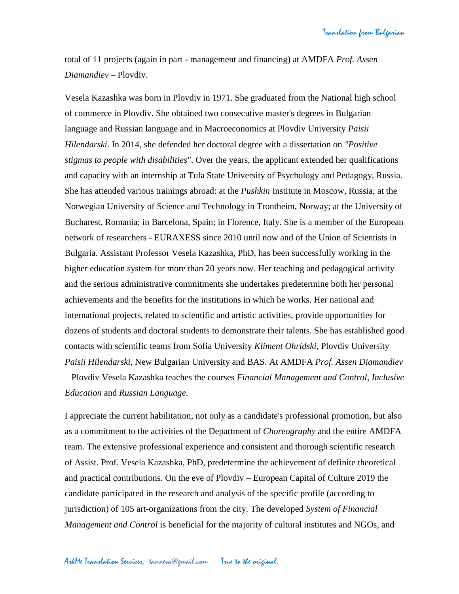total of 11 projects (again in part - management and financing) at AMDFA *Prof. Assen Diamandiev* – Plovdiv.

Vesela Kazashka was born in Plovdiv in 1971. She graduated from the National high school of commerce in Plovdiv. She obtained two consecutive master's degrees in Bulgarian language and Russian language and in Macroeconomics at Plovdiv University *Paisii Hilendarski*. In 2014, she defended her doctoral degree with a dissertation on *"Positive stigmas to people with disabilities"*. Over the years, the applicant extended her qualifications and capacity with an internship at Tula State University of Psychology and Pedagogy, Russia. She has attended various trainings abroad: at the *Pushkin* Institute in Moscow, Russia; at the Norwegian University of Science and Technology in Trontheim, Norway; at the University of Bucharest, Romania; in Barcelona, Spain; in Florence, Italy. She is a member of the European network of researchers - EURAXESS since 2010 until now and of the Union of Scientists in Bulgaria. Assistant Professor Vesela Kazashka, PhD, has been successfully working in the higher education system for more than 20 years now. Her teaching and pedagogical activity and the serious administrative commitments she undertakes predetermine both her personal achievements and the benefits for the institutions in which he works. Her national and international projects, related to scientific and artistic activities, provide opportunities for dozens of students and doctoral students to demonstrate their talents. She has established good contacts with scientific teams from Sofia University *Kliment Ohridski*, Plovdiv University *Paisii Hilendarski*, New Bulgarian University and BAS. At AMDFA *Prof. Assen Diamandiev* – Plovdiv Vesela Kazashka teaches the courses *Financial Management and Control*, *Inclusive Education* and *Russian Language*.

I appreciate the current habilitation, not only as a candidate's professional promotion, but also as a commitment to the activities of the Department of *Choreography* and the entire AMDFA team. The extensive professional experience and consistent and thorough scientific research of Assist. Prof. Vesela Kazashka, PhD, predetermine the achievement of definite theoretical and practical contributions. On the eve of Plovdiv – European Capital of Culture 2019 the candidate participated in the research and analysis of the specific profile (according to jurisdiction) of 105 art-organizations from the city. The developed *System of Financial Management and Control* is beneficial for the majority of cultural institutes and NGOs, and